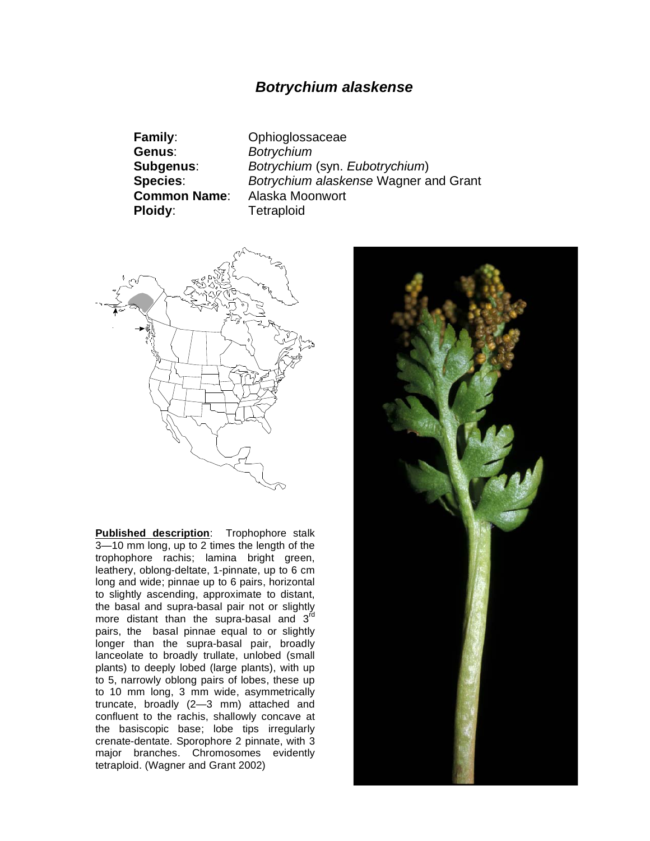## *Botrychium alaskense*

**Family**: Ophioglossaceae **Genus**: *Botrychium* **Ploidy:** Tetraploid

**Subgenus**: *Botrychium* (syn. *Eubotrychium*) **Species**: *Botrychium alaskense* Wagner and Grant **Common Name**: Alaska Moonwort



**Published description**: Trophophore stalk 3—10 mm long, up to 2 times the length of the trophophore rachis; lamina bright green, leathery, oblong-deltate, 1-pinnate, up to 6 cm long and wide; pinnae up to 6 pairs, horizontal to slightly ascending, approximate to distant, the basal and supra-basal pair not or slightly more distant than the supra-basal and 3<sup>rd</sup> pairs, the basal pinnae equal to or slightly longer than the supra-basal pair, broadly lanceolate to broadly trullate, unlobed (small plants) to deeply lobed (large plants), with up to 5, narrowly oblong pairs of lobes, these up to 10 mm long, 3 mm wide, asymmetrically truncate, broadly (2—3 mm) attached and confluent to the rachis, shallowly concave at the basiscopic base; lobe tips irregularly crenate-dentate. Sporophore 2 pinnate, with 3 major branches. Chromosomes evidently tetraploid. (Wagner and Grant 2002)

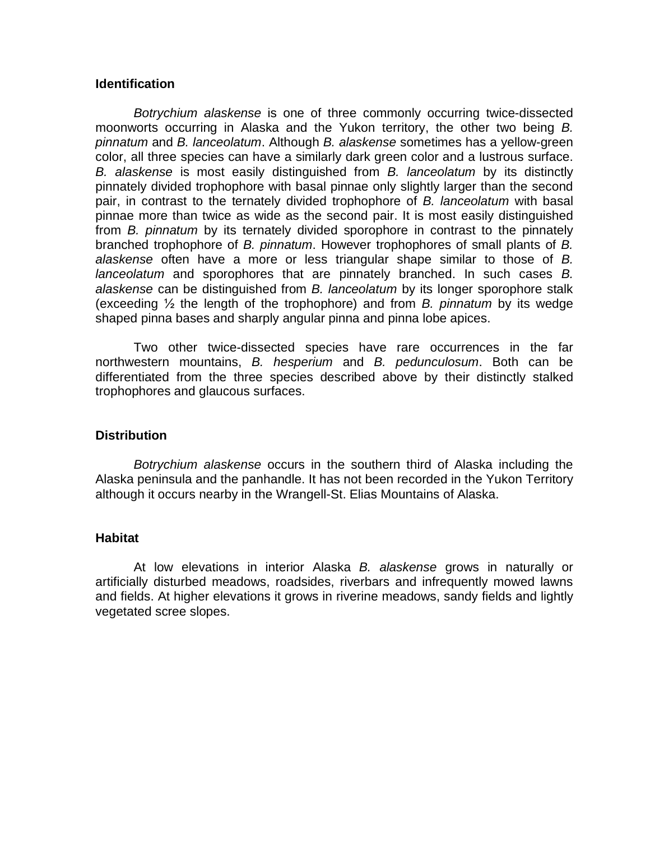## **Identification**

*Botrychium alaskense* is one of three commonly occurring twice-dissected moonworts occurring in Alaska and the Yukon territory, the other two being *B. pinnatum* and *B. lanceolatum*. Although *B. alaskense* sometimes has a yellow-green color, all three species can have a similarly dark green color and a lustrous surface. *B. alaskense* is most easily distinguished from *B. lanceolatum* by its distinctly pinnately divided trophophore with basal pinnae only slightly larger than the second pair, in contrast to the ternately divided trophophore of *B. lanceolatum* with basal pinnae more than twice as wide as the second pair. It is most easily distinguished from *B. pinnatum* by its ternately divided sporophore in contrast to the pinnately branched trophophore of *B. pinnatum*. However trophophores of small plants of *B. alaskense* often have a more or less triangular shape similar to those of *B. lanceolatum* and sporophores that are pinnately branched. In such cases *B. alaskense* can be distinguished from *B. lanceolatum* by its longer sporophore stalk (exceeding  $\frac{1}{2}$  the length of the trophophore) and from *B. pinnatum* by its wedge shaped pinna bases and sharply angular pinna and pinna lobe apices.

 Two other twice-dissected species have rare occurrences in the far northwestern mountains, *B. hesperium* and *B. pedunculosum*. Both can be differentiated from the three species described above by their distinctly stalked trophophores and glaucous surfaces.

## **Distribution**

*Botrychium alaskense* occurs in the southern third of Alaska including the Alaska peninsula and the panhandle. It has not been recorded in the Yukon Territory although it occurs nearby in the Wrangell-St. Elias Mountains of Alaska.

## **Habitat**

 At low elevations in interior Alaska *B. alaskense* grows in naturally or artificially disturbed meadows, roadsides, riverbars and infrequently mowed lawns and fields. At higher elevations it grows in riverine meadows, sandy fields and lightly vegetated scree slopes.